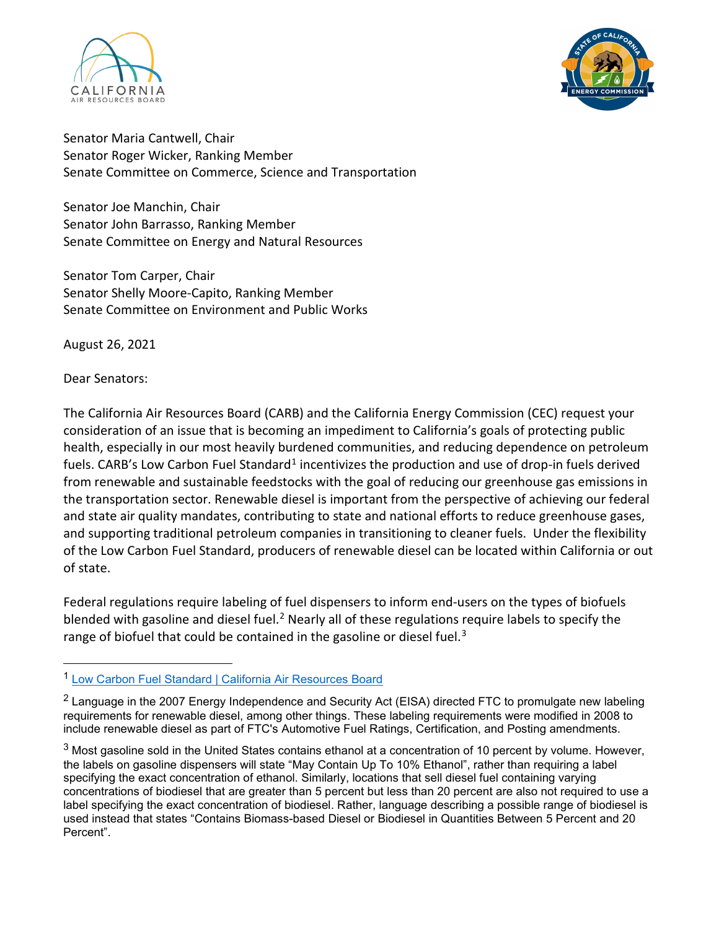



Senator Maria Cantwell, Chair Senator Roger Wicker, Ranking Member Senate Committee on Commerce, Science and Transportation

Senator Joe Manchin, Chair Senator John Barrasso, Ranking Member Senate Committee on Energy and Natural Resources

Senator Tom Carper, Chair Senator Shelly Moore-Capito, Ranking Member Senate Committee on Environment and Public Works

August 26, 2021

Dear Senators:

The California Air Resources Board (CARB) and the California Energy Commission (CEC) request your consideration of an issue that is becoming an impediment to California's goals of protecting public health, especially in our most heavily burdened communities, and reducing dependence on petroleum fuels. CARB's Low Carbon Fuel Standard<sup>[1](#page-0-0)</sup> incentivizes the production and use of drop-in fuels derived from renewable and sustainable feedstocks with the goal of reducing our greenhouse gas emissions in the transportation sector. Renewable diesel is important from the perspective of achieving our federal and state air quality mandates, contributing to state and national efforts to reduce greenhouse gases, and supporting traditional petroleum companies in transitioning to cleaner fuels. Under the flexibility of the Low Carbon Fuel Standard, producers of renewable diesel can be located within California or out of state.

Federal regulations require labeling of fuel dispensers to inform end-users on the types of biofuels blended with gasoline and diesel fuel.<sup>[2](#page-0-1)</sup> Nearly all of these regulations require labels to specify the range of biofuel that could be contained in the gasoline or diesel fuel. $3$ 

<span id="page-0-0"></span><sup>1</sup> [Low Carbon Fuel Standard | California Air Resources Board](https://ww2.arb.ca.gov/our-work/programs/low-carbon-fuel-standard)

<span id="page-0-1"></span> $2$  Language in the 2007 Energy Independence and Security Act (EISA) directed FTC to promulgate new labeling requirements for renewable diesel, among other things. These labeling requirements were modified in 2008 to include renewable diesel as part of FTC's Automotive Fuel Ratings, Certification, and Posting amendments.

<span id="page-0-2"></span> $3$  Most gasoline sold in the United States contains ethanol at a concentration of 10 percent by volume. However, the labels on gasoline dispensers will state "May Contain Up To 10% Ethanol", rather than requiring a label specifying the exact concentration of ethanol. Similarly, locations that sell diesel fuel containing varying concentrations of biodiesel that are greater than 5 percent but less than 20 percent are also not required to use a label specifying the exact concentration of biodiesel. Rather, language describing a possible range of biodiesel is used instead that states "Contains Biomass-based Diesel or Biodiesel in Quantities Between 5 Percent and 20 Percent".